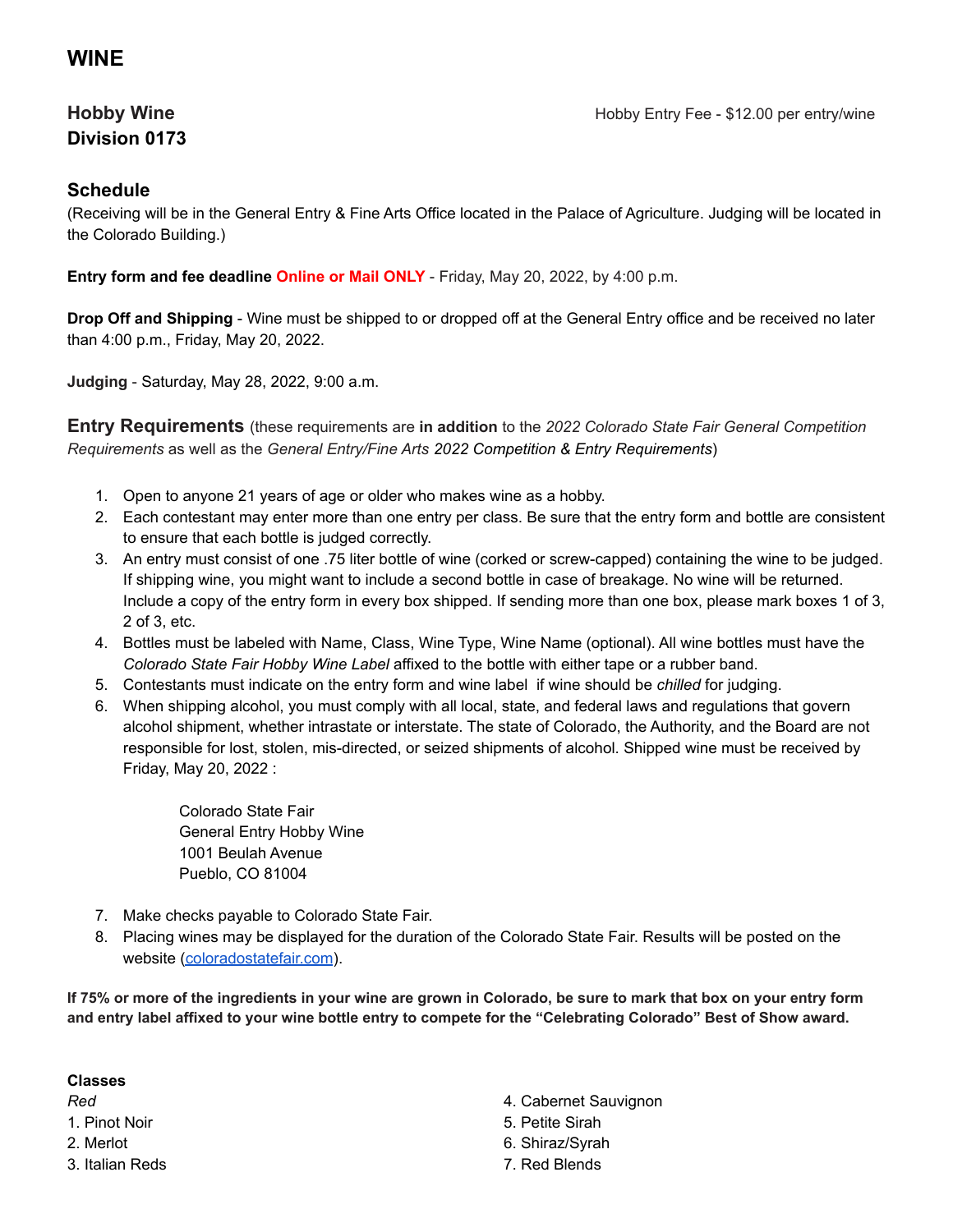## **WINE**

# **Division 0173**

### **Schedule**

(Receiving will be in the General Entry & Fine Arts Office located in the Palace of Agriculture. Judging will be located in the Colorado Building.)

**Entry form and fee deadline Online or Mail ONLY** - Friday, May 20, 2022, by 4:00 p.m.

**Drop Off and Shipping** - Wine must be shipped to or dropped off at the General Entry office and be received no later than 4:00 p.m., Friday, May 20, 2022.

**Judging** - Saturday, May 28, 2022, 9:00 a.m.

**Entry Requirements** (these requirements are **in addition** to the *2022 Colorado State Fair General Competition Requirements* as well as the *General Entry/Fine Arts 2022 Competition & Entry Requirements*)

- 1. Open to anyone 21 years of age or older who makes wine as a hobby.
- 2. Each contestant may enter more than one entry per class. Be sure that the entry form and bottle are consistent to ensure that each bottle is judged correctly.
- 3. An entry must consist of one .75 liter bottle of wine (corked or screw-capped) containing the wine to be judged. If shipping wine, you might want to include a second bottle in case of breakage. No wine will be returned. Include a copy of the entry form in every box shipped. If sending more than one box, please mark boxes 1 of 3, 2 of 3, etc.
- 4. Bottles must be labeled with Name, Class, Wine Type, Wine Name (optional). All wine bottles must have the *Colorado State Fair Hobby Wine Label* affixed to the bottle with either tape or a rubber band.
- 5. Contestants must indicate on the entry form and wine label if wine should be *chilled* for judging.
- 6. When shipping alcohol, you must comply with all local, state, and federal laws and regulations that govern alcohol shipment, whether intrastate or interstate. The state of Colorado, the Authority, and the Board are not responsible for lost, stolen, mis-directed, or seized shipments of alcohol. Shipped wine must be received by Friday, May 20, 2022 :

Colorado State Fair General Entry Hobby Wine 1001 Beulah Avenue Pueblo, CO 81004

- 7. Make checks payable to Colorado State Fair.
- 8. Placing wines may be displayed for the duration of the Colorado State Fair. Results will be posted on the website [\(coloradostatefair.com](http://www.coloradostatefair.com/)).

If 75% or more of the ingredients in your wine are grown in Colorado, be sure to mark that box on your entry form and entry label affixed to your wine bottle entry to compete for the "Celebrating Colorado" Best of Show award.

#### **Classes**

*Red*

1. Pinot Noir

2. Merlot

3. Italian Reds

- 4. Cabernet Sauvignon
- 5. Petite Sirah
- 6. Shiraz/Syrah
- 7. Red Blends